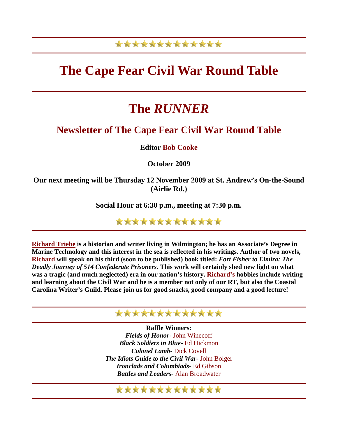### \*\*\*\*\*\*\*\*\*\*\*\*\*

# **The Cape Fear Civil War Round Table**

# **The** *RUNNER*

### **Newsletter of The Cape Fear Civil War Round Table**

**Editor Bob Cooke**

**October 2009** 

**Our next meeting will be Thursday 12 November 2009 at St. Andrew's On-the-Sound (Airlie Rd.)** 

**Social Hour at 6:30 p.m., meeting at 7:30 p.m.** 

\*\*\*\*\*\*\*\*\*\*\*\*\*

**[Richard Triebe](http://www.richardsbooks.net/) is a historian and writer living in Wilmington; he has an Associate's Degree in Marine Technology and this interest in the sea is reflected in his writings. Author of two novels, Richard will speak on his third (soon to be published) book titled:** *Fort Fisher to Elmira: The Deadly Journey of 514 Confederate Prisoners.* **This work will certainly shed new light on what was a tragic (and much neglected) era in our nation's history. Richard's hobbies include writing and learning about the Civil War and he is a member not only of our RT, but also the Coastal Carolina Writer's Guild. Please join us for good snacks, good company and a good lecture!**

### \*\*\*\*\*\*\*\*\*\*\*\*\*

**Raffle Winners:** *Fields of Honor*- John Winecoff *Black Soldiers in Blue*- Ed Hickmon *Colonel Lamb*- Dick Covell *The Idiots Guide to the Civil War*- John Bolger *Ironclads and Columbiads*- Ed Gibson *Battles and Leaders*- Alan Broadwater

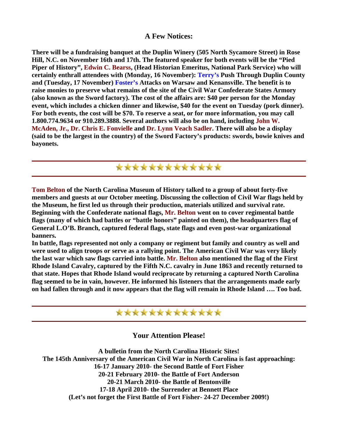#### **A Few Notices:**

**There will be a fundraising banquet at the Duplin Winery (505 North Sycamore Street) in Rose Hill, N.C. on November 16th and 17th. The featured speaker for both events will be the "Pied Piper of History", Edwin C. Bearss, (Head Historian Emeritus, National Park Service) who will certainly enthrall attendees with (Monday, 16 November): Terry's Push Through Duplin County and (Tuesday, 17 November) Foster's Attacks on Warsaw and Kenansville. The benefit is to raise monies to preserve what remains of the site of the Civil War Confederate States Armory (also known as the Sword factory). The cost of the affairs are: \$40 per person for the Monday event, which includes a chicken dinner and likewise, \$40 for the event on Tuesday (pork dinner). For both events, the cost will be \$70. To reserve a seat, or for more information, you may call 1.800.774.9634 or 910.289.3888. Several authors will also be on hand, including John W. McAden, Jr., Dr. Chris E. Fonvielle and Dr. Lynn Veach Sadler. There will also be a display (said to be the largest in the country) of the Sword Factory's products: swords, bowie knives and bayonets.**

\*\*\*\*\*\*\*\*\*\*\*\*\*

**Tom Belton of the North Carolina Museum of History talked to a group of about forty-five members and guests at our October meeting. Discussing the collection of Civil War flags held by the Museum, he first led us through their production, materials utilized and survival rate. Beginning with the Confederate national flags, Mr. Belton went on to cover regimental battle flags (many of which had battles or "battle honors" painted on them), the headquarters flag of General L.O'B. Branch, captured federal flags, state flags and even post-war organizational banners.**

**In battle, flags represented not only a company or regiment but family and country as well and were used to align troops or serve as a rallying point. The American Civil War was very likely the last war which saw flags carried into battle. Mr. Belton also mentioned the flag of the First Rhode Island Cavalry, captured by the Fifth N.C. cavalry in June 1863 and recently returned to that state. Hopes that Rhode Island would reciprocate by returning a captured North Carolina flag seemed to be in vain, however. He informed his listeners that the arrangements made early on had fallen through and it now appears that the flag will remain in Rhode Island …. Too bad.**

### \*\*\*\*\*\*\*\*\*\*\*\*\*

#### **Your Attention Please!**

**A bulletin from the North Carolina Historic Sites! The 145th Anniversary of the American Civil War in North Carolina is fast approaching: 16-17 January 2010- the Second Battle of Fort Fisher 20-21 February 2010- the Battle of Fort Anderson 20-21 March 2010- the Battle of Bentonville 17-18 April 2010- the Surrender at Bennett Place (Let's not forget the First Battle of Fort Fisher- 24-27 December 2009!)**